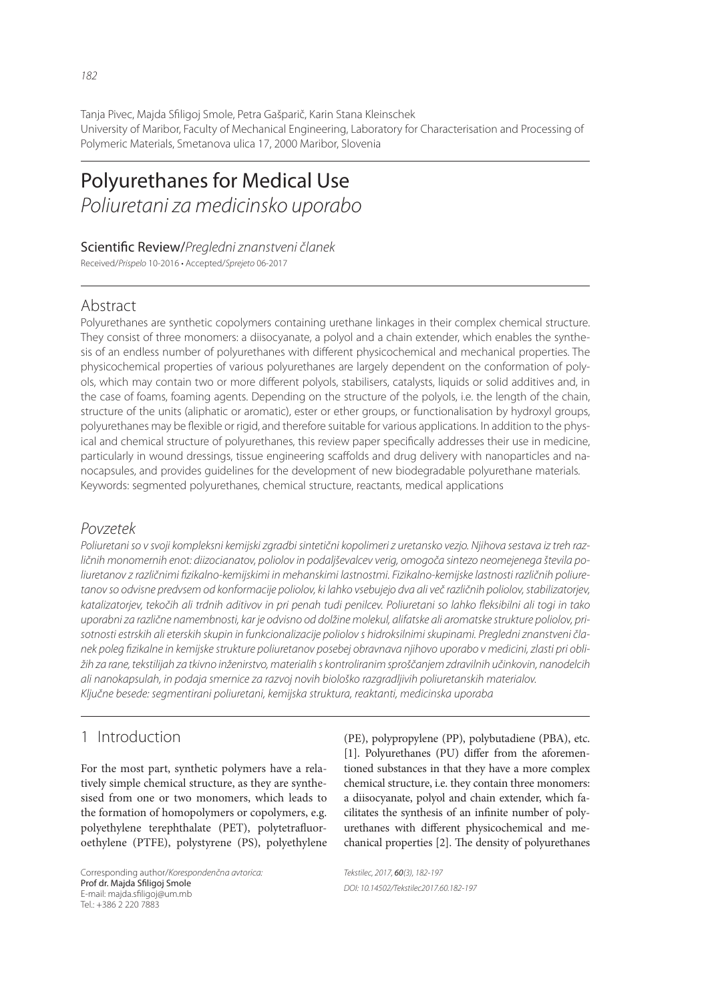Tanja Pivec, Majda Sfiligoj Smole, Petra Gašparič, Karin Stana Kleinschek University of Maribor, Faculty of Mechanical Engineering, Laboratory for Characterisation and Processing of Polymeric Materials, Smetanova ulica 17, 2000 Maribor, Slovenia

# Polyurethanes for Medical Use *Poliuretani za medicinsko uporabo*

### Scientific Review/Pregledni znanstveni članek

Received/*Prispelo* 10-2016 • Accepted/*Sprejeto* 06-2017

# Abstract

Polyurethanes are synthetic copolymers containing urethane linkages in their complex chemical structure. They consist of three monomers: a diisocyanate, a polyol and a chain extender, which enables the synthesis of an endless number of polyurethanes with different physicochemical and mechanical properties. The physicochemical properties of various polyurethanes are largely dependent on the conformation of polyols, which may contain two or more different polyols, stabilisers, catalysts, liquids or solid additives and, in the case of foams, foaming agents. Depending on the structure of the polyols, i.e. the length of the chain, structure of the units (aliphatic or aromatic), ester or ether groups, or functionalisation by hydroxyl groups, polyurethanes may be flexible or rigid, and therefore suitable for various applications. In addition to the physical and chemical structure of polyurethanes, this review paper specifically addresses their use in medicine, particularly in wound dressings, tissue engineering scaffolds and drug delivery with nanoparticles and nanocapsules, and provides guidelines for the development of new biodegradable polyurethane materials. Keywords: segmented polyurethanes, chemical structure, reactants, medical applications

# *Povzetek*

*Poliuretani so v svoji kompleksni kemijski zgradbi sintetični kopolimeri z uretansko vezjo. Njihova sestava iz treh različnih monomernih enot: diizocianatov, poliolov in podaljševalcev verig, omogoča sintezo neomejenega števila po*liuretanov z različnimi fizikalno-kemijskimi in mehanskimi lastnostmi. Fizikalno-kemijske lastnosti različnih poliure*tanov so odvisne predvsem od konformacije poliolov, ki lahko vsebujejo dva ali več različnih poliolov, stabilizatorjev,*  katalizatorjev, tekočih ali trdnih aditivov in pri penah tudi penilcev. Poliuretani so lahko fleksibilni ali togi in tako *uporabni za različne namembnosti, kar je odvisno od dolžine molekul, alifatske ali aromatske strukture poliolov, prisotnosti estrskih ali eterskih skupin in funkcionalizacije poliolov s hidroksilnimi skupinami. Pregledni znanstveni članek poleg fi zikalne in kemijske strukture poliuretanov posebej obravnava njihovo uporabo v medicini, zlasti pri obližih za rane, tekstilijah za tkivno inženirstvo, materialih s kontroliranim sproščanjem zdravilnih učinkovin, nanodelcih ali nanokapsulah, in podaja smernice za razvoj novih biološko razgradljivih poliuretanskih materialov. Ključne besede: segmentirani poliuretani, kemijska struktura, reaktanti, medicinska uporaba*

# 1 Introduction

For the most part, synthetic polymers have a relatively simple chemical structure, as they are synthesised from one or two monomers, which leads to the formation of homopolymers or copolymers, e.g. polyethylene terephthalate (PET), polytetrafluoroethylene (PTFE), polystyrene (PS), polyethylene

Corresponding author/*Korespondenčna avtorica:* Prof dr. Majda Sfiligoj Smole E-mail: majda.sfiligoj@um.mb Tel.: +386 2 220 7883

(PE), polypropylene (PP), polybutadiene (PBA), etc.  $[1]$ . Polyurethanes  $(PU)$  differ from the aforementioned substances in that they have a more complex chemical structure, i.e. they contain three monomers: a diisocyanate, polyol and chain extender, which facilitates the synthesis of an infinite number of polyurethanes with different physicochemical and mechanical properties [2]. The density of polyurethanes

*Tekstilec, 2017,* 60*(3), 182-197 DOI: 10.14502/Tekstilec2017.60.182-197*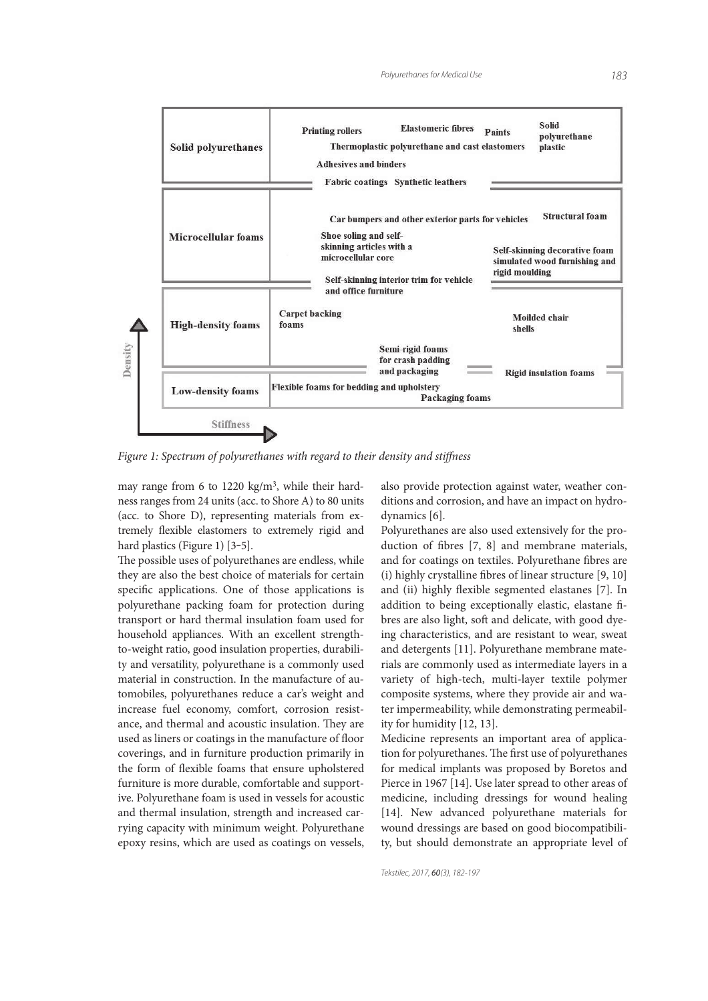

Figure 1: Spectrum of polyurethanes with regard to their density and stiffness

may range from 6 to 1220 kg/m<sup>3</sup>, while their hardness ranges from 24 units (acc. to Shore A) to 80 units (acc. to Shore D), representing materials from extremely flexible elastomers to extremely rigid and hard plastics (Figure 1) [3-5].

The possible uses of polyurethanes are endless, while they are also the best choice of materials for certain specific applications. One of those applications is polyurethane packing foam for protection during transport or hard thermal insulation foam used for household appliances. With an excellent strengthto-weight ratio, good insulation properties, durability and versatility, polyurethane is a commonly used material in construction. In the manufacture of automobiles, polyurethanes reduce a car's weight and increase fuel economy, comfort, corrosion resistance, and thermal and acoustic insulation. They are used as liners or coatings in the manufacture of floor coverings, and in furniture production primarily in the form of flexible foams that ensure upholstered furniture is more durable, comfortable and supportive. Polyurethane foam is used in vessels for acoustic and thermal insulation, strength and increased carrying capacity with minimum weight. Polyurethane epoxy resins, which are used as coatings on vessels, also provide protection against water, weather conditions and corrosion, and have an impact on hydrodynamics [6].

Polyurethanes are also used extensively for the production of fibres [7, 8] and membrane materials, and for coatings on textiles. Polyurethane fibres are (i) highly crystalline fibres of linear structure  $[9, 10]$ and (ii) highly flexible segmented elastanes [7]. In addition to being exceptionally elastic, elastane fibres are also light, soft and delicate, with good dyeing characteristics, and are resistant to wear, sweat and detergents [11]. Polyurethane membrane materials are commonly used as intermediate layers in a variety of high-tech, multi-layer textile polymer composite systems, where they provide air and water impermeability, while demonstrating permeability for humidity [12, 13].

Medicine represents an important area of application for polyurethanes. The first use of polyurethanes for medical implants was proposed by Boretos and Pierce in 1967 [14]. Use later spread to other areas of medicine, including dressings for wound healing [14]. New advanced polyurethane materials for wound dressings are based on good biocompatibility, but should demonstrate an appropriate level of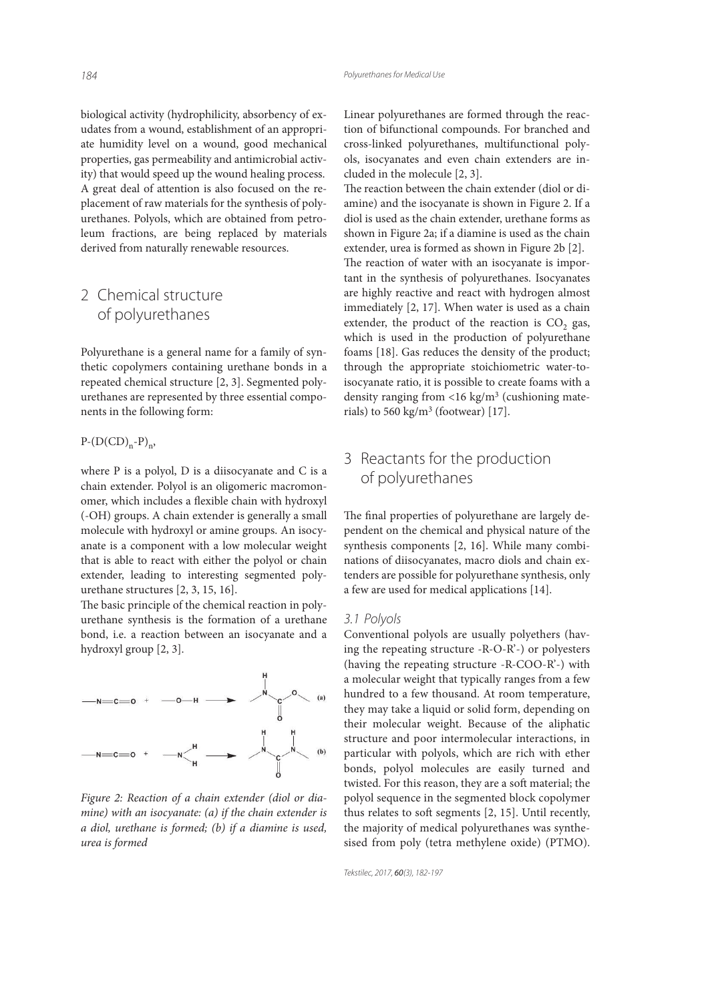biological activity (hydrophilicity, absorbency of exudates from a wound, establishment of an appropriate humidity level on a wound, good mechanical properties, gas permeability and antimicrobial activity) that would speed up the wound healing process. A great deal of attention is also focused on the replacement of raw materials for the synthesis of polyurethanes. Polyols, which are obtained from petroleum fractions, are being replaced by materials derived from naturally renewable resources.

# 2 Chemical structure of polyurethanes

Polyurethane is a general name for a family of synthetic copolymers containing urethane bonds in a repeated chemical structure [2, 3]. Segmented polyurethanes are represented by three essential components in the following form:

 $P-(D(CD)<sub>n</sub>-P)<sub>n</sub>$ 

where P is a polyol, D is a diisocyanate and C is a chain extender. Polyol is an oligomeric macromonomer, which includes a flexible chain with hydroxyl (-OH) groups. A chain extender is generally a small molecule with hydroxyl or amine groups. An isocyanate is a component with a low molecular weight that is able to react with either the polyol or chain extender, leading to interesting segmented polyurethane structures [2, 3, 15, 16].

The basic principle of the chemical reaction in polyurethane synthesis is the formation of a urethane bond, i.e. a reaction between an isocyanate and a hydroxyl group [2, 3].



Figure 2: Reaction of a chain extender (diol or diamine) with an isocyanate: (a) if the chain extender is a diol, urethane is formed; (b) if a diamine is used, urea is formed

Linear polyurethanes are formed through the reaction of bifunctional compounds. For branched and cross-linked polyurethanes, multifunctional polyols, isocyanates and even chain extenders are included in the molecule [2, 3].

The reaction between the chain extender (diol or diamine) and the isocyanate is shown in Figure 2. If a diol is used as the chain extender, urethane forms as shown in Figure 2a; if a diamine is used as the chain extender, urea is formed as shown in Figure 2b [2]. The reaction of water with an isocyanate is important in the synthesis of polyurethanes. Isocyanates are highly reactive and react with hydrogen almost immediately [2, 17]. When water is used as a chain extender, the product of the reaction is  $CO_2$  gas, which is used in the production of polyurethane foams [18]. Gas reduces the density of the product; through the appropriate stoichiometric water-toisocyanate ratio, it is possible to create foams with a density ranging from <16 kg/m<sup>3</sup> (cushioning materials) to  $560 \text{ kg/m}^3$  (footwear) [17].

# 3 Reactants for the production of polyurethanes

The final properties of polyurethane are largely dependent on the chemical and physical nature of the synthesis components [2, 16]. While many combinations of diisocyanates, macro diols and chain extenders are possible for polyurethane synthesis, only a few are used for medical applications [14].

#### *3.1 Polyols*

Conventional polyols are usually polyethers (having the repeating structure -R-O-R'-) or polyesters (having the repeating structure -R-COO-R'-) with a molecular weight that typically ranges from a few hundred to a few thousand. At room temperature, they may take a liquid or solid form, depending on their molecular weight. Because of the aliphatic structure and poor intermolecular interactions, in particular with polyols, which are rich with ether bonds, polyol molecules are easily turned and twisted. For this reason, they are a soft material; the polyol sequence in the segmented block copolymer thus relates to soft segments  $[2, 15]$ . Until recently, the majority of medical polyurethanes was synthesised from poly (tetra methylene oxide) (PTMO).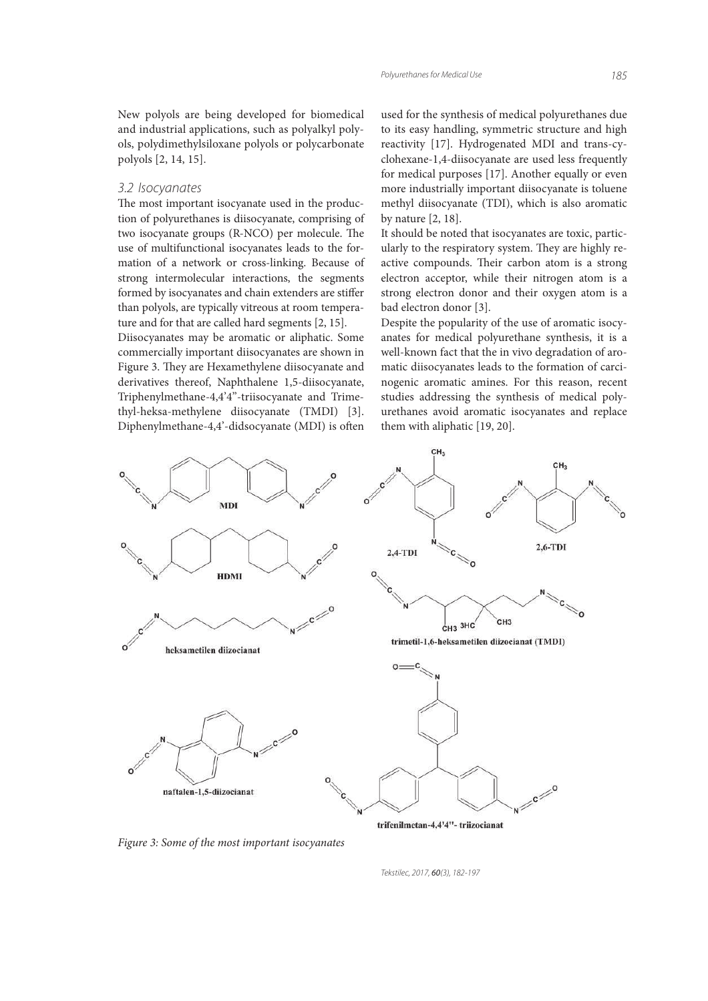New polyols are being developed for biomedical and industrial applications, such as polyalkyl polyols, polydimethylsiloxane polyols or polycarbonate polyols [2, 14, 15].

#### *3.2 Isocyanates*

The most important isocyanate used in the production of polyurethanes is diisocyanate, comprising of two isocyanate groups (R-NCO) per molecule. The use of multifunctional isocyanates leads to the formation of a network or cross-linking. Because of strong intermolecular interactions, the segments formed by isocyanates and chain extenders are stiffer than polyols, are typically vitreous at room temperature and for that are called hard segments [2, 15].

Diisocyanates may be aromatic or aliphatic. Some commercially important diisocyanates are shown in Figure 3. They are Hexamethylene diisocyanate and derivatives thereof, Naphthalene 1,5-diisocyanate, Triphenylmethane-4,4'4''-triisocyanate and Trimethyl-heksa-methylene diisocyanate (TMDI) [3]. Diphenylmethane-4,4'-didsocyanate (MDI) is often

used for the synthesis of medical polyurethanes due to its easy handling, symmetric structure and high reactivity [17]. Hydrogenated MDI and trans-cyclohexane-1,4-diisocyanate are used less frequently for medical purposes [17]. Another equally or even more industrially important diisocyanate is toluene methyl diisocyanate (TDI), which is also aromatic by nature [2, 18].

It should be noted that isocyanates are toxic, particularly to the respiratory system. They are highly reactive compounds. Their carbon atom is a strong electron acceptor, while their nitrogen atom is a strong electron donor and their oxygen atom is a bad electron donor [3].

Despite the popularity of the use of aromatic isocyanates for medical polyurethane synthesis, it is a well-known fact that the in vivo degradation of aromatic diisocyanates leads to the formation of carcinogenic aromatic amines. For this reason, recent studies addressing the synthesis of medical polyurethanes avoid aromatic isocyanates and replace them with aliphatic [19, 20].



Figure 3: Some of the most important isocyanates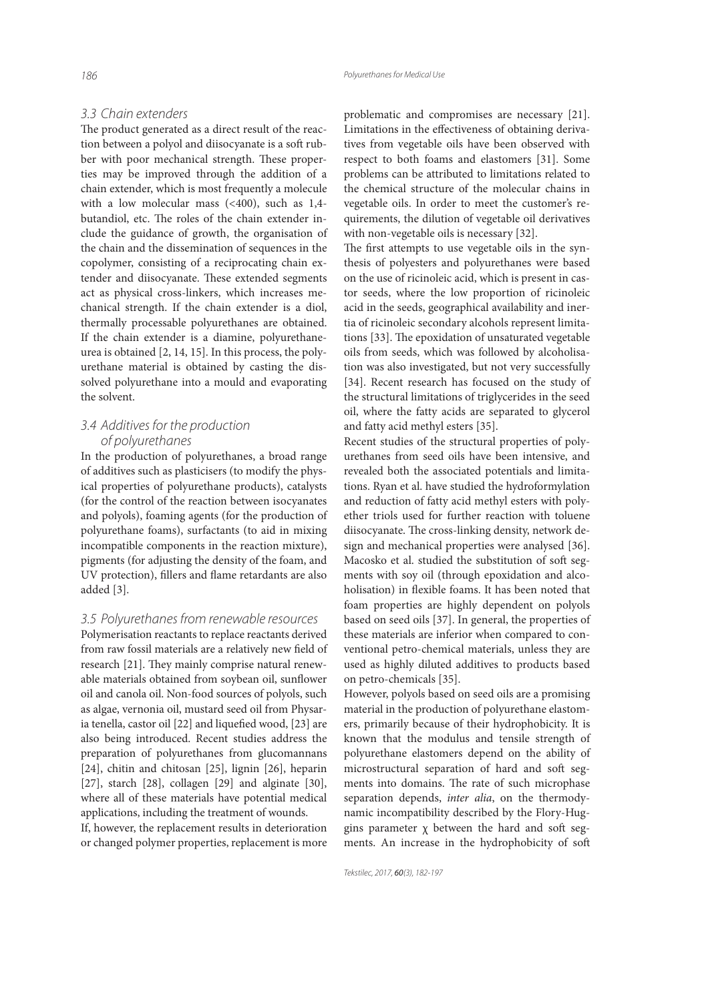*3.3 Chain extenders* The product generated as a direct result of the reaction between a polyol and diisocyanate is a soft rubber with poor mechanical strength. These properties may be improved through the addition of a chain extender, which is most frequently a molecule with a low molecular mass (<400), such as 1,4 butandiol, etc. The roles of the chain extender include the guidance of growth, the organisation of the chain and the dissemination of sequences in the copolymer, consisting of a reciprocating chain extender and diisocyanate. These extended segments act as physical cross-linkers, which increases mechanical strength. If the chain extender is a diol, thermally processable polyurethanes are obtained. If the chain extender is a diamine, polyurethaneurea is obtained [2, 14, 15]. In this process, the polyurethane material is obtained by casting the dissolved polyurethane into a mould and evaporating the solvent.

### *3.4 Additives for the production of polyurethanes*

In the production of polyurethanes, a broad range of additives such as plasticisers (to modify the physical properties of polyurethane products), catalysts (for the control of the reaction between isocyanates and polyols), foaming agents (for the production of polyurethane foams), surfactants (to aid in mixing incompatible components in the reaction mixture), pigments (for adjusting the density of the foam, and UV protection), fillers and flame retardants are also added [3].

#### *3.5 Polyurethanes from renewable resources*

Polymerisation reactants to replace reactants derived from raw fossil materials are a relatively new field of research [21]. They mainly comprise natural renewable materials obtained from soybean oil, sunflower oil and canola oil. Non-food sources of polyols, such as algae, vernonia oil, mustard seed oil from Physaria tenella, castor oil  $[22]$  and liquefied wood,  $[23]$  are also being introduced. Recent studies address the preparation of polyurethanes from glucomannans [24], chitin and chitosan [25], lignin [26], heparin [27], starch [28], collagen [29] and alginate [30], where all of these materials have potential medical applications, including the treatment of wounds.

If, however, the replacement results in deterioration or changed polymer properties, replacement is more problematic and compromises are necessary [21]. Limitations in the effectiveness of obtaining derivatives from vegetable oils have been observed with respect to both foams and elastomers [31]. Some problems can be attributed to limitations related to the chemical structure of the molecular chains in vegetable oils. In order to meet the customer's requirements, the dilution of vegetable oil derivatives with non-vegetable oils is necessary [32].

The first attempts to use vegetable oils in the synthesis of polyesters and polyurethanes were based on the use of ricinoleic acid, which is present in castor seeds, where the low proportion of ricinoleic acid in the seeds, geographical availability and inertia of ricinoleic secondary alcohols represent limitations [33]. The epoxidation of unsaturated vegetable oils from seeds, which was followed by alcoholisation was also investigated, but not very successfully [34]. Recent research has focused on the study of the structural limitations of triglycerides in the seed oil, where the fatty acids are separated to glycerol and fatty acid methyl esters [35].

Recent studies of the structural properties of polyurethanes from seed oils have been intensive, and revealed both the associated potentials and limitations. Ryan et al. have studied the hydroformylation and reduction of fatty acid methyl esters with polyether triols used for further reaction with toluene diisocyanate. The cross-linking density, network design and mechanical properties were analysed [36]. Macosko et al. studied the substitution of soft segments with soy oil (through epoxidation and alcoholisation) in flexible foams. It has been noted that foam properties are highly dependent on polyols based on seed oils [37]. In general, the properties of these materials are inferior when compared to conventional petro-chemical materials, unless they are used as highly diluted additives to products based on petro-chemicals [35].

However, polyols based on seed oils are a promising material in the production of polyurethane elastomers, primarily because of their hydrophobicity. It is known that the modulus and tensile strength of polyurethane elastomers depend on the ability of microstructural separation of hard and soft segments into domains. The rate of such microphase separation depends, inter alia, on the thermodynamic incompatibility described by the Flory-Huggins parameter  $\chi$  between the hard and soft segments. An increase in the hydrophobicity of soft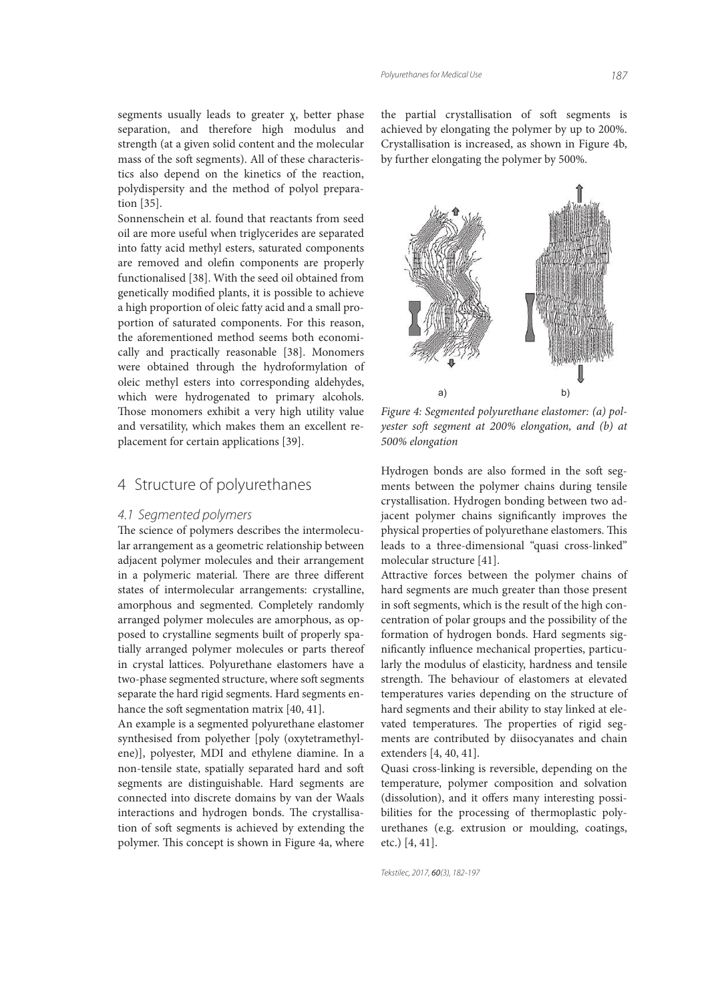segments usually leads to greater χ, better phase separation, and therefore high modulus and strength (at a given solid content and the molecular mass of the soft segments). All of these characteristics also depend on the kinetics of the reaction, polydispersity and the method of polyol preparation [35].

Sonnenschein et al. found that reactants from seed oil are more useful when triglycerides are separated into fatty acid methyl esters, saturated components are removed and olefin components are properly functionalised [38]. With the seed oil obtained from genetically modified plants, it is possible to achieve a high proportion of oleic fatty acid and a small proportion of saturated components. For this reason, the aforementioned method seems both economically and practically reasonable [38]. Monomers were obtained through the hydroformylation of oleic methyl esters into corresponding aldehydes, which were hydrogenated to primary alcohols. Those monomers exhibit a very high utility value and versatility, which makes them an excellent replacement for certain applications [39].

# 4 Structure of polyurethanes

#### *4.1 Segmented polymers*

The science of polymers describes the intermolecular arrangement as a geometric relationship between adjacent polymer molecules and their arrangement in a polymeric material. There are three different states of intermolecular arrangements: crystalline, amorphous and segmented. Completely randomly arranged polymer molecules are amorphous, as opposed to crystalline segments built of properly spatially arranged polymer molecules or parts thereof in crystal lattices. Polyurethane elastomers have a two-phase segmented structure, where soft segments separate the hard rigid segments. Hard segments enhance the soft segmentation matrix [40, 41].

An example is a segmented polyurethane elastomer synthesised from polyether [poly (oxytetramethylene)], polyester, MDI and ethylene diamine. In a non-tensile state, spatially separated hard and soft segments are distinguishable. Hard segments are connected into discrete domains by van der Waals interactions and hydrogen bonds. The crystallisation of soft segments is achieved by extending the polymer. This concept is shown in Figure 4a, where

the partial crystallisation of soft segments is achieved by elongating the polymer by up to 200%. Crystallisation is increased, as shown in Figure 4b, by further elongating the polymer by 500%.



Figure 4: Segmented polyurethane elastomer: (a) polyester soft segment at 200% elongation, and (b) at 500% elongation

Hydrogen bonds are also formed in the soft segments between the polymer chains during tensile crystallisation. Hydrogen bonding between two adjacent polymer chains significantly improves the physical properties of polyurethane elastomers. This leads to a three-dimensional "quasi cross-linked" molecular structure [41].

Attractive forces between the polymer chains of hard segments are much greater than those present in soft segments, which is the result of the high concentration of polar groups and the possibility of the formation of hydrogen bonds. Hard segments significantly influence mechanical properties, particularly the modulus of elasticity, hardness and tensile strength. The behaviour of elastomers at elevated temperatures varies depending on the structure of hard segments and their ability to stay linked at elevated temperatures. The properties of rigid segments are contributed by diisocyanates and chain extenders [4, 40, 41].

Quasi cross-linking is reversible, depending on the temperature, polymer composition and solvation (dissolution), and it offers many interesting possibilities for the processing of thermoplastic polyurethanes (e.g. extrusion or moulding, coatings, etc.) [4, 41].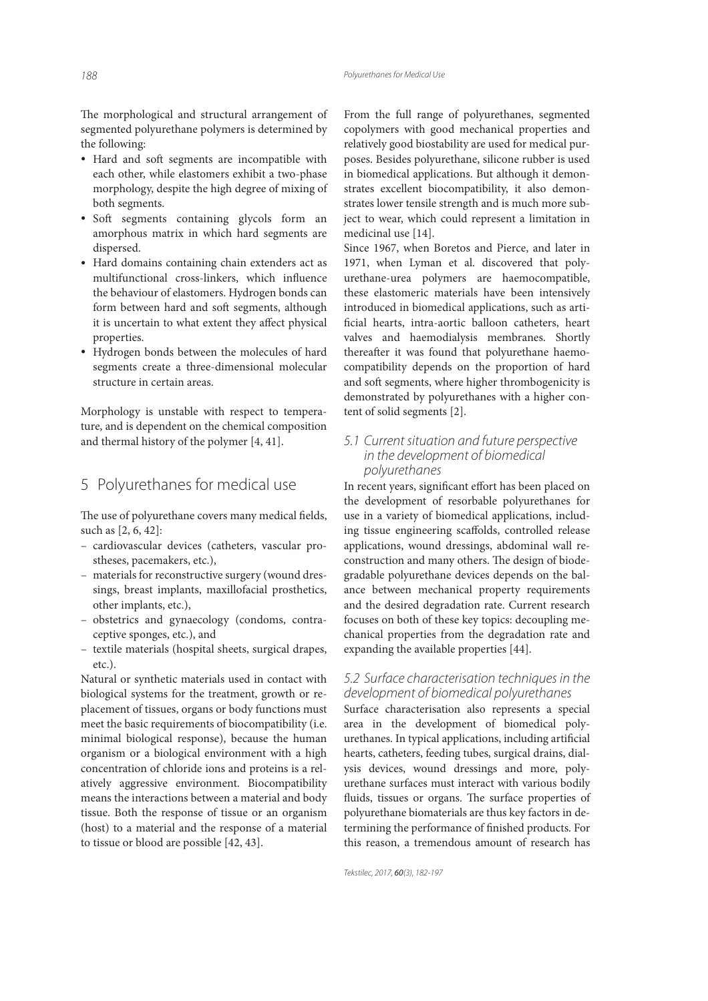The morphological and structural arrangement of segmented polyurethane polymers is determined by the following:

- Hard and soft segments are incompatible with each other, while elastomers exhibit a two-phase morphology, despite the high degree of mixing of both segments.
- Soft segments containing glycols form an amorphous matrix in which hard segments are dispersed.
- Hard domains containing chain extenders act as multifunctional cross-linkers, which influence the behaviour of elastomers. Hydrogen bonds can form between hard and soft segments, although it is uncertain to what extent they affect physical properties.
- Hydrogen bonds between the molecules of hard segments create a three-dimensional molecular structure in certain areas.

Morphology is unstable with respect to temperature, and is dependent on the chemical composition and thermal history of the polymer [4, 41].

# 5 Polyurethanes for medical use

The use of polyurethane covers many medical fields, such as [2, 6, 42]:

- cardiovascular devices (catheters, vascular prostheses, pacemakers, etc.),
- materials for reconstructive surgery (wound dressings, breast implants, maxillofacial prosthetics, other implants, etc.),
- obstetrics and gynaecology (condoms, contraceptive sponges, etc.), and
- textile materials (hospital sheets, surgical drapes, etc.).

Natural or synthetic materials used in contact with biological systems for the treatment, growth or replacement of tissues, organs or body functions must meet the basic requirements of biocompatibility (i.e. minimal biological response), because the human organism or a biological environment with a high concentration of chloride ions and proteins is a relatively aggressive environment. Biocompatibility means the interactions between a material and body tissue. Both the response of tissue or an organism (host) to a material and the response of a material to tissue or blood are possible [42, 43].

From the full range of polyurethanes, segmented copolymers with good mechanical properties and relatively good biostability are used for medical purposes. Besides polyurethane, silicone rubber is used in biomedical applications. But although it demonstrates excellent biocompatibility, it also demonstrates lower tensile strength and is much more subject to wear, which could represent a limitation in medicinal use [14].

Since 1967, when Boretos and Pierce, and later in 1971, when Lyman et al. discovered that polyurethane-urea polymers are haemocompatible, these elastomeric materials have been intensively introduced in biomedical applications, such as arti ficial hearts, intra-aortic balloon catheters, heart valves and haemodialysis membranes. Shortly thereafter it was found that polyurethane haemocompatibility depends on the proportion of hard and soft segments, where higher thrombogenicity is demonstrated by polyurethanes with a higher content of solid segments [2].

*5.1 Current situation and future perspective in the development of biomedical polyurethanes*

In recent years, significant effort has been placed on the development of resorbable polyurethanes for use in a variety of biomedical applications, including tissue engineering scaffolds, controlled release applications, wound dressings, abdominal wall reconstruction and many others. The design of biodegradable polyurethane devices depends on the balance between mechanical property requirements and the desired degradation rate. Current research focuses on both of these key topics: decoupling mechanical properties from the degradation rate and expanding the available properties [44].

# *5.2 Surface characterisation techniques in the development of biomedical polyurethanes*

Surface characterisation also represents a special area in the development of biomedical polyurethanes. In typical applications, including artificial hearts, catheters, feeding tubes, surgical drains, dialysis devices, wound dressings and more, polyurethane surfaces must interact with various bodily fluids, tissues or organs. The surface properties of polyurethane biomaterials are thus key factors in determining the performance of finished products. For this reason, a tremendous amount of research has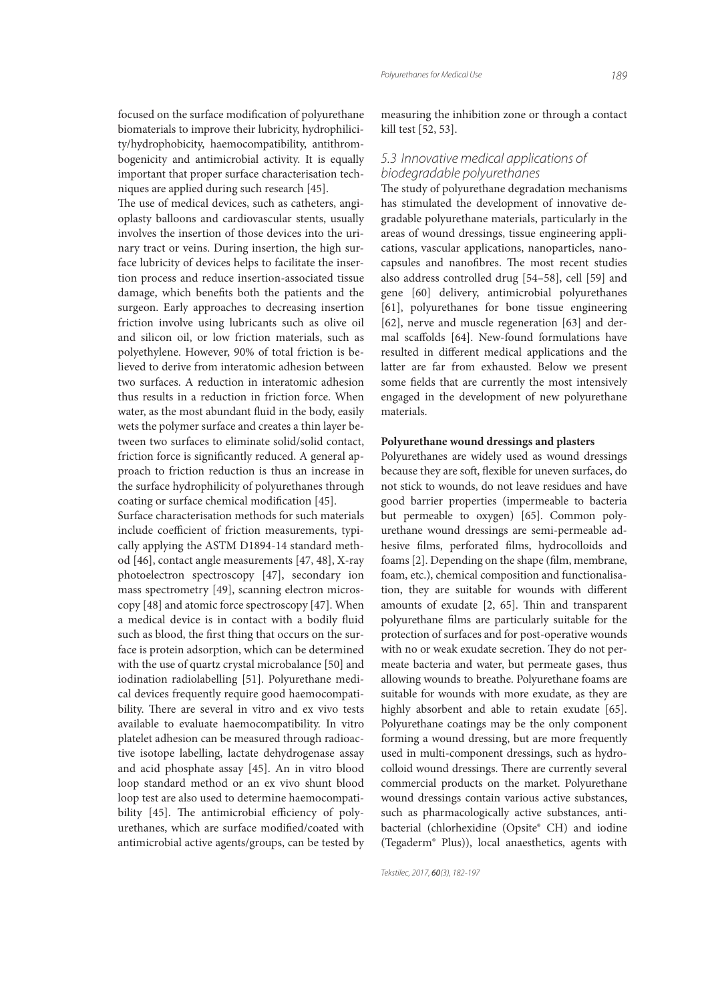focused on the surface modification of polyurethane biomaterials to improve their lubricity, hydrophilicity/hydrophobicity, haemocompatibility, antithrombogenicity and antimicrobial activity. It is equally important that proper surface characterisation techniques are applied during such research [45].

The use of medical devices, such as catheters, angioplasty balloons and cardiovascular stents, usually involves the insertion of those devices into the urinary tract or veins. During insertion, the high surface lubricity of devices helps to facilitate the insertion process and reduce insertion-associated tissue damage, which benefits both the patients and the surgeon. Early approaches to decreasing insertion friction involve using lubricants such as olive oil and silicon oil, or low friction materials, such as polyethylene. However, 90% of total friction is believed to derive from interatomic adhesion between two surfaces. A reduction in interatomic adhesion thus results in a reduction in friction force. When water, as the most abundant fluid in the body, easily wets the polymer surface and creates a thin layer between two surfaces to eliminate solid/solid contact, friction force is significantly reduced. A general approach to friction reduction is thus an increase in the surface hydrophilicity of polyurethanes through coating or surface chemical modification [45].

Surface characterisation methods for such materials include coefficient of friction measurements, typically applying the ASTM D1894-14 standard method [46], contact angle measurements [47, 48], X-ray photoelectron spectroscopy [47], secondary ion mass spectrometry [49], scanning electron microscopy [48] and atomic force spectroscopy [47]. When a medical device is in contact with a bodily fluid such as blood, the first thing that occurs on the surface is protein adsorption, which can be determined with the use of quartz crystal microbalance [50] and iodination radiolabelling [51]. Polyurethane medical devices frequently require good haemocompatibility. There are several in vitro and ex vivo tests available to evaluate haemocompatibility. In vitro platelet adhesion can be measured through radioactive isotope labelling, lactate dehydrogenase assay and acid phosphate assay [45]. An in vitro blood loop standard method or an ex vivo shunt blood loop test are also used to determine haemocompatibility [45]. The antimicrobial efficiency of polyurethanes, which are surface modified/coated with antimicrobial active agents/groups, can be tested by

measuring the inhibition zone or through a contact kill test [52, 53].

#### *5.3 Innovative medical applications of biodegradable polyurethanes*

The study of polyurethane degradation mechanisms has stimulated the development of innovative degradable polyurethane materials, particularly in the areas of wound dressings, tissue engineering applications, vascular applications, nanoparticles, nanocapsules and nanofibres. The most recent studies also address controlled drug [54–58], cell [59] and gene [60] delivery, antimicrobial polyurethanes [61], polyurethanes for bone tissue engineering [62], nerve and muscle regeneration [63] and dermal scaffolds [64]. New-found formulations have resulted in different medical applications and the latter are far from exhausted. Below we present some fields that are currently the most intensively engaged in the development of new polyurethane materials.

#### **Polyurethane wound dressings and plasters**

Polyurethanes are widely used as wound dressings because they are soft, flexible for uneven surfaces, do not stick to wounds, do not leave residues and have good barrier properties (impermeable to bacteria but permeable to oxygen) [65]. Common polyurethane wound dressings are semi-permeable adhesive films, perforated films, hydrocolloids and foams [2]. Depending on the shape (film, membrane, foam, etc.), chemical composition and functionalisation, they are suitable for wounds with different amounts of exudate  $[2, 65]$ . Thin and transparent polyurethane films are particularly suitable for the protection of surfaces and for post-operative wounds with no or weak exudate secretion. They do not permeate bacteria and water, but permeate gases, thus allowing wounds to breathe. Polyurethane foams are suitable for wounds with more exudate, as they are highly absorbent and able to retain exudate [65]. Polyurethane coatings may be the only component forming a wound dressing, but are more frequently used in multi-component dressings, such as hydrocolloid wound dressings. There are currently several commercial products on the market. Polyurethane wound dressings contain various active substances, such as pharmacologically active substances, antibacterial (chlorhexidine (Opsite® CH) and iodine (Tegaderm® Plus)), local anaesthetics, agents with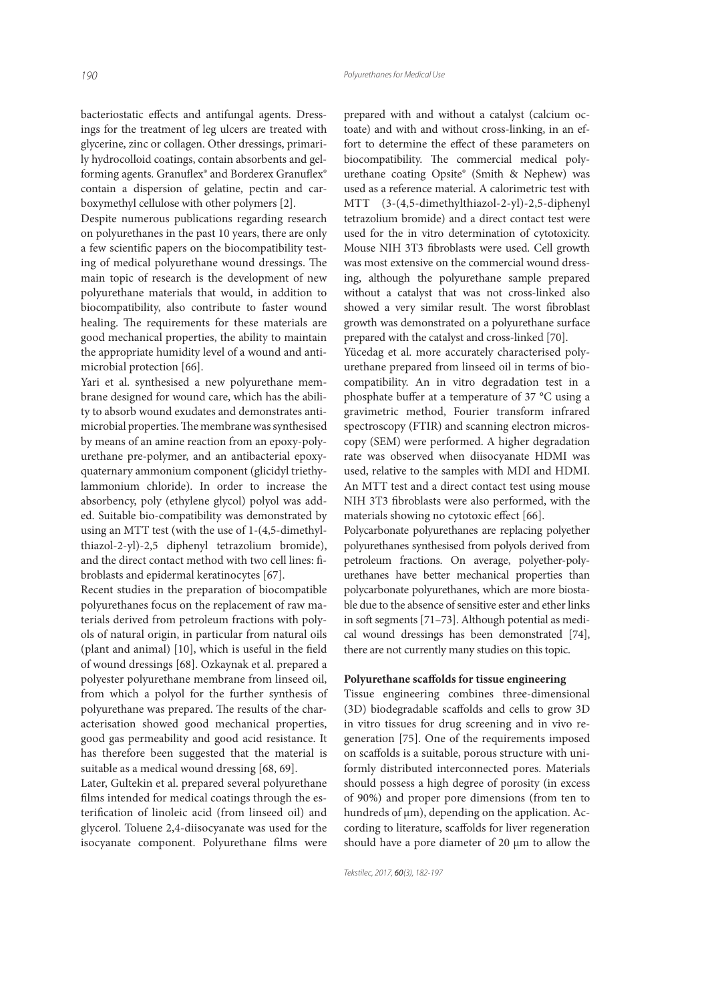bacteriostatic effects and antifungal agents. Dressings for the treatment of leg ulcers are treated with glycerine, zinc or collagen. Other dressings, primarily hydrocolloid coatings, contain absorbents and gelforming agents. Granuflex® and Borderex Granuflex® contain a dispersion of gelatine, pectin and carboxymethyl cellulose with other polymers [2].

Despite numerous publications regarding research on polyurethanes in the past 10 years, there are only a few scientific papers on the biocompatibility testing of medical polyurethane wound dressings. The main topic of research is the development of new polyurethane materials that would, in addition to biocompatibility, also contribute to faster wound healing. The requirements for these materials are good mechanical properties, the ability to maintain the appropriate humidity level of a wound and antimicrobial protection [66].

Yari et al. synthesised a new polyurethane membrane designed for wound care, which has the ability to absorb wound exudates and demonstrates antimicrobial properties. The membrane was synthesised by means of an amine reaction from an epoxy-polyurethane pre-polymer, and an antibacterial epoxyquaternary ammonium component (glicidyl triethylammonium chloride). In order to increase the absorbency, poly (ethylene glycol) polyol was added. Suitable bio-compatibility was demonstrated by using an MTT test (with the use of 1-(4,5-dimethylthiazol-2-yl)-2,5 diphenyl tetrazolium bromide), and the direct contact method with two cell lines: fibroblasts and epidermal keratinocytes [67].

Recent studies in the preparation of biocompatible polyurethanes focus on the replacement of raw materials derived from petroleum fractions with polyols of natural origin, in particular from natural oils (plant and animal)  $[10]$ , which is useful in the field of wound dressings [68]. Ozkaynak et al. prepared a polyester polyurethane membrane from linseed oil, from which a polyol for the further synthesis of polyurethane was prepared. The results of the characterisation showed good mechanical properties, good gas permeability and good acid resistance. It has therefore been suggested that the material is suitable as a medical wound dressing [68, 69].

Later, Gultekin et al. prepared several polyurethane films intended for medical coatings through the esterification of linoleic acid (from linseed oil) and glycerol. Toluene 2,4-diisocyanate was used for the isocyanate component. Polyurethane films were

prepared with and without a catalyst (calcium octoate) and with and without cross-linking, in an effort to determine the effect of these parameters on biocompatibility. The commercial medical polyurethane coating Opsite® (Smith & Nephew) was used as a reference material. A calorimetric test with MTT (3-(4,5-dimethylthiazol-2-yl)-2,5-diphenyl tetrazolium bromide) and a direct contact test were used for the in vitro determination of cytotoxicity. Mouse NIH 3T3 fibroblasts were used. Cell growth was most extensive on the commercial wound dressing, although the polyurethane sample prepared without a catalyst that was not cross-linked also showed a very similar result. The worst fibroblast growth was demonstrated on a polyurethane surface prepared with the catalyst and cross-linked [70].

Yücedag et al. more accurately characterised polyurethane prepared from linseed oil in terms of biocompatibility. An in vitro degradation test in a phosphate buffer at a temperature of 37 °C using a gravimetric method, Fourier transform infrared spectroscopy (FTIR) and scanning electron microscopy (SEM) were performed. A higher degradation rate was observed when diisocyanate HDMI was used, relative to the samples with MDI and HDMI. An MTT test and a direct contact test using mouse NIH 3T3 fibroblasts were also performed, with the materials showing no cytotoxic effect [66].

Polycarbonate polyurethanes are replacing polyether polyurethanes synthesised from polyols derived from petroleum fractions. On average, polyether-polyurethanes have better mechanical properties than polycarbonate polyurethanes, which are more biostable due to the absence of sensitive ester and ether links in soft segments  $[71-73]$ . Although potential as medical wound dressings has been demonstrated [74], there are not currently many studies on this topic.

#### Polyurethane scaffolds for tissue engineering

Tissue engineering combines three-dimensional (3D) biodegradable scaffolds and cells to grow 3D in vitro tissues for drug screening and in vivo regeneration [75]. One of the requirements imposed on scaffolds is a suitable, porous structure with uniformly distributed interconnected pores. Materials should possess a high degree of porosity (in excess of 90%) and proper pore dimensions (from ten to hundreds of μm), depending on the application. According to literature, scaffolds for liver regeneration should have a pore diameter of 20 μm to allow the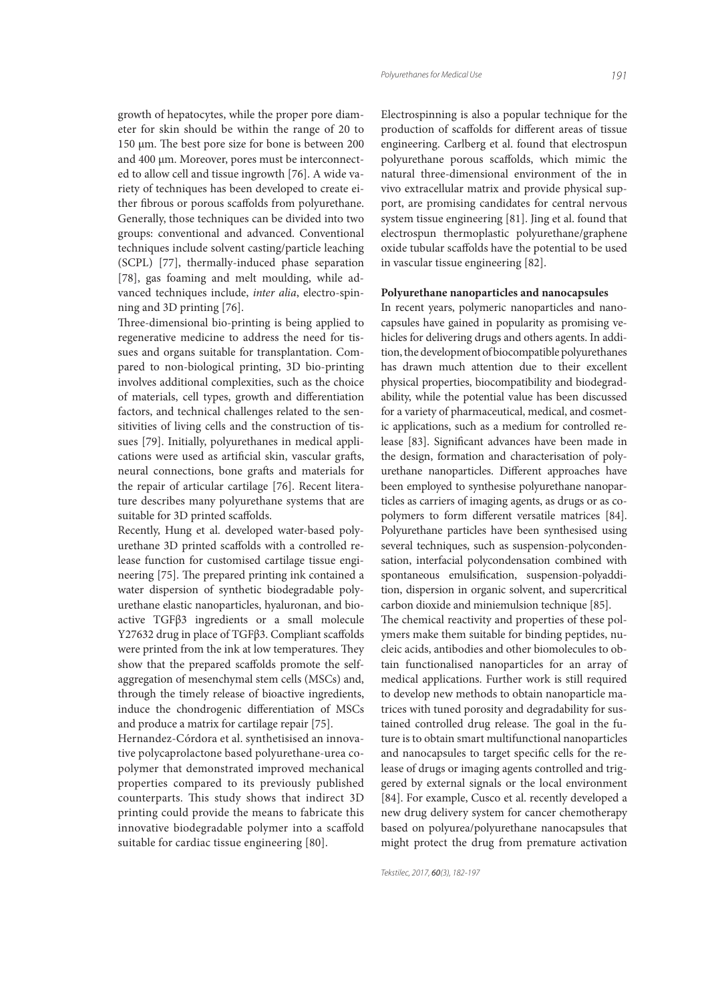*Polyurethanes for Medical Use 191*

growth of hepatocytes, while the proper pore diameter for skin should be within the range of 20 to  $150 \mu$ m. The best pore size for bone is between 200 and 400 μm. Moreover, pores must be interconnected to allow cell and tissue ingrowth [76]. A wide variety of techniques has been developed to create either fibrous or porous scaffolds from polyurethane. Generally, those techniques can be divided into two groups: conventional and advanced. Conventional techniques include solvent casting/particle leaching (SCPL) [77], thermally-induced phase separation [78], gas foaming and melt moulding, while advanced techniques include, inter alia, electro-spinning and 3D printing [76].

Three-dimensional bio-printing is being applied to regenerative medicine to address the need for tissues and organs suitable for transplantation. Compared to non-biological printing, 3D bio-printing involves additional complexities, such as the choice of materials, cell types, growth and differentiation factors, and technical challenges related to the sensitivities of living cells and the construction of tissues [79]. Initially, polyurethanes in medical applications were used as artificial skin, vascular grafts, neural connections, bone grafts and materials for the repair of articular cartilage [76]. Recent literature describes many polyurethane systems that are suitable for 3D printed scaffolds.

Recently, Hung et al. developed water-based polyurethane 3D printed scaffolds with a controlled release function for customised cartilage tissue engineering [75]. The prepared printing ink contained a water dispersion of synthetic biodegradable polyurethane elastic nanoparticles, hyaluronan, and bioactive TGFβ3 ingredients or a small molecule Y27632 drug in place of TGFβ3. Compliant scaffolds were printed from the ink at low temperatures. They show that the prepared scaffolds promote the selfaggregation of mesenchymal stem cells (MSCs) and, through the timely release of bioactive ingredients, induce the chondrogenic differentiation of MSCs and produce a matrix for cartilage repair [75].

Hernandez-Córdora et al. synthetisised an innovative polycaprolactone based polyurethane-urea copolymer that demonstrated improved mechanical properties compared to its previously published counterparts. This study shows that indirect 3D printing could provide the means to fabricate this innovative biodegradable polymer into a scaffold suitable for cardiac tissue engineering [80].

Electrospinning is also a popular technique for the production of scaffolds for different areas of tissue engineering. Carlberg et al. found that electrospun polyurethane porous scaffolds, which mimic the natural three-dimensional environment of the in vivo extracellular matrix and provide physical support, are promising candidates for central nervous system tissue engineering [81]. Jing et al. found that electrospun thermoplastic polyurethane/graphene oxide tubular scaffolds have the potential to be used in vascular tissue engineering [82].

#### **Polyurethane nanoparticles and nanocapsules**

In recent years, polymeric nanoparticles and nanocapsules have gained in popularity as promising vehicles for delivering drugs and others agents. In addition, the development of biocompatible polyurethanes has drawn much attention due to their excellent physical properties, biocompatibility and biodegradability, while the potential value has been discussed for a variety of pharmaceutical, medical, and cosmetic applications, such as a medium for controlled release [83]. Significant advances have been made in the design, formation and characterisation of polyurethane nanoparticles. Different approaches have been employed to synthesise polyurethane nanoparticles as carriers of imaging agents, as drugs or as copolymers to form different versatile matrices [84]. Polyurethane particles have been synthesised using several techniques, such as suspension-polycondensation, interfacial polycondensation combined with spontaneous emulsification, suspension-polyaddition, dispersion in organic solvent, and supercritical carbon dioxide and miniemulsion technique [85]. The chemical reactivity and properties of these polymers make them suitable for binding peptides, nucleic acids, antibodies and other biomolecules to obtain functionalised nanoparticles for an array of medical applications. Further work is still required to develop new methods to obtain nanoparticle matrices with tuned porosity and degradability for sustained controlled drug release. The goal in the future is to obtain smart multifunctional nanoparticles and nanocapsules to target specific cells for the release of drugs or imaging agents controlled and triggered by external signals or the local environment [84]. For example, Cusco et al. recently developed a new drug delivery system for cancer chemotherapy based on polyurea/polyurethane nanocapsules that might protect the drug from premature activation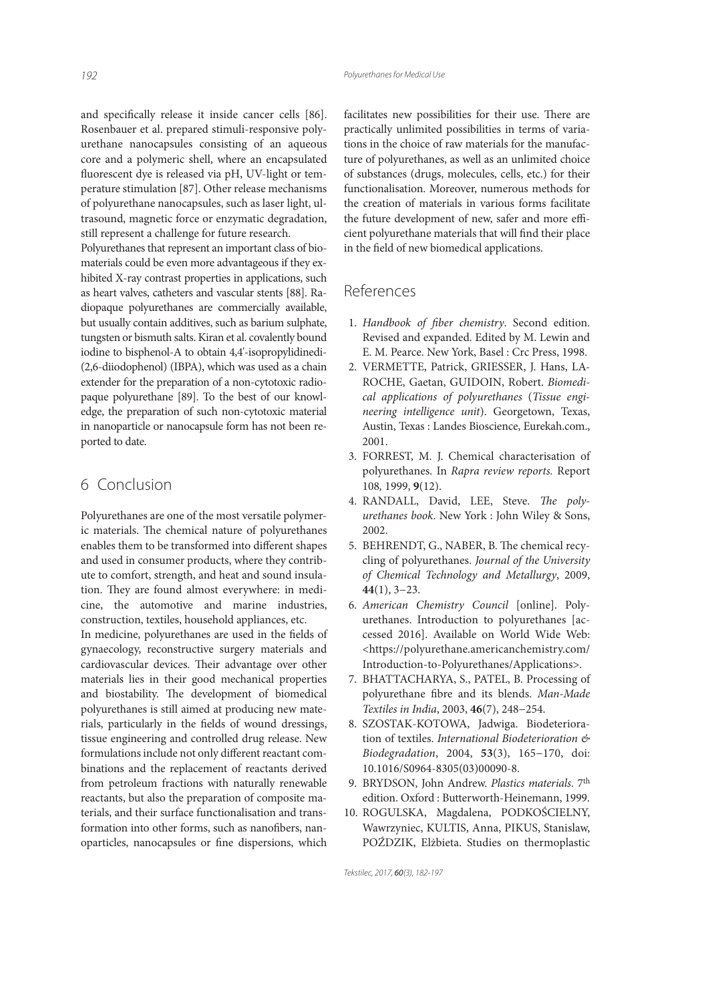and specifically release it inside cancer cells [86]. Rosenbauer et al. prepared stimuli-responsive polyurethane nanocapsules consisting of an aqueous core and a polymeric shell, where an encapsulated fluorescent dye is released via pH, UV-light or temperature stimulation [87]. Other release mechanisms of polyurethane nanocapsules, such as laser light, ultrasound, magnetic force or enzymatic degradation, still represent a challenge for future research.

Polyurethanes that represent an important class of biomaterials could be even more advantageous if they exhibited X-ray contrast properties in applications, such as heart valves, catheters and vascular stents [88]. Radiopaque polyurethanes are commercially available, but usually contain additives, such as barium sulphate, tungsten or bismuth salts. Kiran et al. covalently bound iodine to bisphenol-A to obtain 4,4'-isopropylidinedi- (2,6-diiodophenol) (IBPA), which was used as a chain extender for the preparation of a non-cytotoxic radiopaque polyurethane [89]. To the best of our knowledge, the preparation of such non-cytotoxic material in nanoparticle or nanocapsule form has not been reported to date.

# 6 Conclusion

Polyurethanes are one of the most versatile polymeric materials. The chemical nature of polyurethanes enables them to be transformed into different shapes and used in consumer products, where they contribute to comfort, strength, and heat and sound insulation. They are found almost everywhere: in medicine, the automotive and marine industries, construction, textiles, household appliances, etc. In medicine, polyurethanes are used in the fields of gynaecology, reconstructive surgery materials and cardiovascular devices. Their advantage over other materials lies in their good mechanical properties and biostability. The development of biomedical polyurethanes is still aimed at producing new materials, particularly in the fields of wound dressings, tissue engineering and controlled drug release. New formulations include not only different reactant combinations and the replacement of reactants derived from petroleum fractions with naturally renewable reactants, but also the preparation of composite materials, and their surface functionalisation and transformation into other forms, such as nanofibers, nanoparticles, nanocapsules or fine dispersions, which

facilitates new possibilities for their use. There are practically unlimited possibilities in terms of variations in the choice of raw materials for the manufacture of polyurethanes, as well as an unlimited choice of substances (drugs, molecules, cells, etc.) for their functionalisation. Moreover, numerous methods for the creation of materials in various forms facilitate the future development of new, safer and more efficient polyurethane materials that will find their place in the field of new biomedical applications.

# References

- 1. Handbook of fiber chemistry. Second edition. Revised and expanded. Edited by M. Lewin and E. M. Pearce. New York, Basel : Crc Press, 1998.
- 2. VERMETTE, Patrick, GRIESSER, J. Hans, LA-ROCHE, Gaetan, GUIDOIN, Robert. Biomedical applications of polyurethanes (Tissue engineering intelligence unit). Georgetown, Texas, Austin, Texas : Landes Bioscience, Eurekah.com., 2001.
- 3. FORREST, M. J. Chemical characterisation of polyurethanes. In Rapra review reports. Report 108, 1999, **9**(12).
- 4. RANDALL, David, LEE, Steve. The polyurethanes book. New York : John Wiley & Sons, 2002.
- 5. BEHRENDT, G., NABER, B. The chemical recycling of polyurethanes. Journal of the University of Chemical Technology and Metallurgy, 2009, **44**(1), 3−23.
- 6. American Chemistry Council [online]. Polyurethanes. Introduction to polyurethanes [accessed 2016]. Available on World Wide Web: <https://polyurethane.americanchemistry.com/ Introduction-to-Polyurethanes/Applications>.
- 7. BHATTACHARYA, S., PATEL, B. Processing of polyurethane fibre and its blends. Man-Made Textiles in India, 2003, **46**(7), 248−254.
- 8. SZOSTAK-KOTOWA, Jadwiga. Biodeterioration of textiles. International Biodeterioration & Biodegradation, 2004, **53**(3), 165−170, doi: 10.1016/S0964-8305(03)00090-8.
- 9. BRYDSON, John Andrew. Plastics materials. 7th edition. Oxford : Butterworth-Heinemann, 1999.
- 10. ROGULSKA, Magdalena, PODKOŚCIELNY, Wawrzyniec, KULTIS, Anna, PIKUS, Stanislaw, POŹDZIK, Elżbieta. Studies on thermoplastic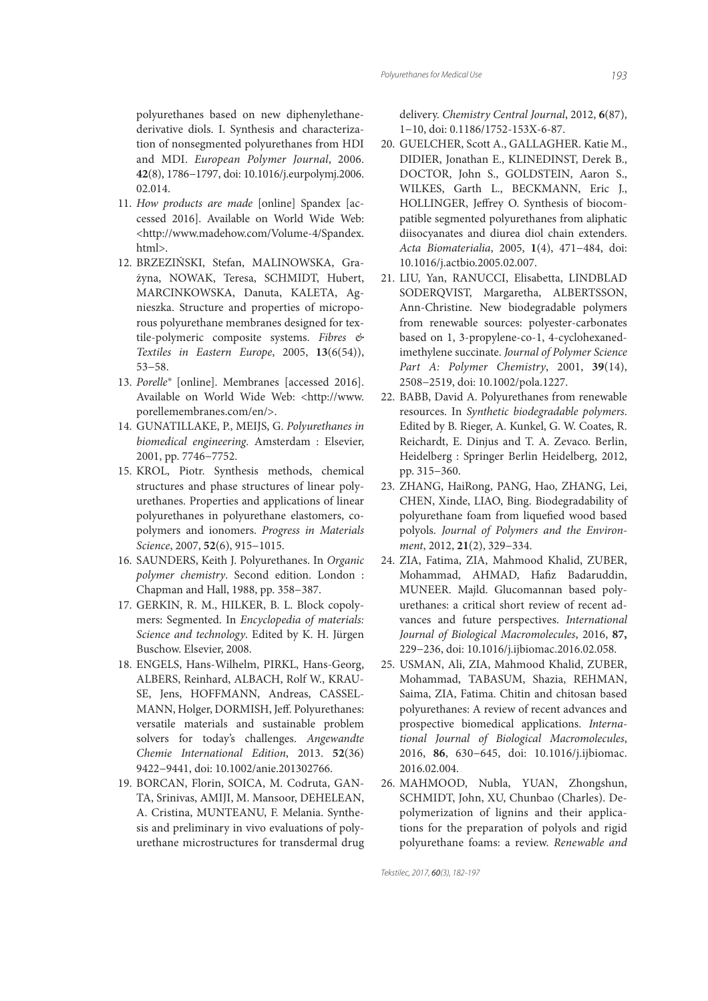polyurethanes based on new diphenylethanederivative diols. I. Synthesis and characterization of nonsegmented polyurethanes from HDI and MDI. European Polymer Journal, 2006. **42**(8), 1786−1797, doi: 10.1016/j.eurpolymj.2006. 02.014.

- 11. How products are made [online] Spandex [accessed 2016]. Available on World Wide Web: <http://www.madehow.com/Volume-4/Spandex. html>.
- 12. BRZEZIŃSKI, Stefan, MALINOWSKA, Grażyna, NOWAK, Teresa, SCHMIDT, Hubert, MARCINKOWSKA, Danuta, KALETA, Agnieszka. Structure and properties of microporous polyurethane membranes designed for textile-polymeric composite systems. Fibres & Textiles in Eastern Europe, 2005, **13**(6(54)), 53−58.
- 13. Porelle® [online]. Membranes [accessed 2016]. Available on World Wide Web: <http://www. porellemembranes.com/en/>.
- 14. GUNATILLAKE, P., MEIJS, G. Polyurethanes in biomedical engineering. Amsterdam : Elsevier, 2001, pp. 7746−7752.
- 15. KROL, Piotr. Synthesis methods, chemical structures and phase structures of linear polyurethanes. Properties and applications of linear polyurethanes in polyurethane elastomers, copolymers and ionomers. Progress in Materials Science, 2007, **52**(6), 915−1015.
- 16. SAUNDERS, Keith J. Polyurethanes. In Organic polymer chemistry. Second edition. London : Chapman and Hall, 1988, pp. 358−387.
- 17. GERKIN, R. M., HILKER, B. L. Block copolymers: Segmented. In Encyclopedia of materials: Science and technology. Edited by K. H. Jürgen Buschow. Elsevier, 2008.
- 18. ENGELS, Hans-Wilhelm, PIRKL, Hans-Georg, ALBERS, Reinhard, ALBACH, Rolf W., KRAU-SE, Jens, HOFFMANN, Andreas, CASSEL-MANN, Holger, DORMISH, Jeff. Polyurethanes: versatile materials and sustainable problem solvers for today's challenges. Angewandte Chemie International Edition, 2013. **52**(36) 9422−9441, doi: 10.1002/anie.201302766.
- 19. BORCAN, Florin, SOICA, M. Codruta, GAN-TA, Srinivas, AMIJI, M. Mansoor, DEHELEAN, A. Cristina, MUNTEANU, F. Melania. Synthesis and preliminary in vivo evaluations of polyurethane microstructures for transdermal drug

delivery. Chemistry Central Journal, 2012, **6**(87), 1−10, doi: 0.1186/1752-153X-6-87.

- 20. GUELCHER, Scott A., GALLAGHER. Katie M., DIDIER, Jonathan E., KLINEDINST, Derek B., DOCTOR, John S., GOLDSTEIN, Aaron S., WILKES, Garth L., BECKMANN, Eric J., HOLLINGER, Jeffrey O. Synthesis of biocompatible segmented polyurethanes from aliphatic diisocyanates and diurea diol chain extenders. Acta Biomaterialia, 2005, **1**(4), 471−484, doi: 10.1016/j.actbio.2005.02.007.
- 21. LIU, Yan, RANUCCI, Elisabetta, LINDBLAD SODERQVIST, Margaretha, ALBERTSSON, Ann-Christine. New biodegradable polymers from renewable sources: polyester-carbonates based on 1, 3‐propylene‐co‐1, 4‐cyclohexanedimethylene succinate. Journal of Polymer Science Part A: Polymer Chemistry, 2001, **39**(14), 2508−2519, doi: 10.1002/pola.1227.
- 22. BABB, David A. Polyurethanes from renewable resources. In Synthetic biodegradable polymers. Edited by B. Rieger, A. Kunkel, G. W. Coates, R. Reichardt, E. Dinjus and T. A. Zevaco. Berlin, Heidelberg : Springer Berlin Heidelberg, 2012, pp. 315−360.
- 23. ZHANG, HaiRong, PANG, Hao, ZHANG, Lei, CHEN, Xinde, LIAO, Bing. Biodegradability of polyurethane foam from liquefied wood based polyols. Journal of Polymers and the Environment, 2012, **21**(2), 329−334.
- 24. ZIA, Fatima, ZIA, Mahmood Khalid, ZUBER, Mohammad, AHMAD, Hafiz Badaruddin, MUNEER. Majld. Glucomannan based polyurethanes: a critical short review of recent advances and future perspectives. International Journal of Biological Macromolecules, 2016, **87,** 229−236, doi: 10.1016/j.ijbiomac.2016.02.058.
- 25. USMAN, Ali, ZIA, Mahmood Khalid, ZUBER, Mohammad, TABASUM, Shazia, REHMAN, Saima, ZIA, Fatima. Chitin and chitosan based polyurethanes: A review of recent advances and prospective biomedical applications. International Journal of Biological Macromolecules, 2016, **86**, 630−645, doi: 10.1016/j.ijbiomac. 2016.02.004.
- 26. MAHMOOD, Nubla, YUAN, Zhongshun, SCHMIDT, John, XU, Chunbao (Charles). Depolymerization of lignins and their applications for the preparation of polyols and rigid polyurethane foams: a review. Renewable and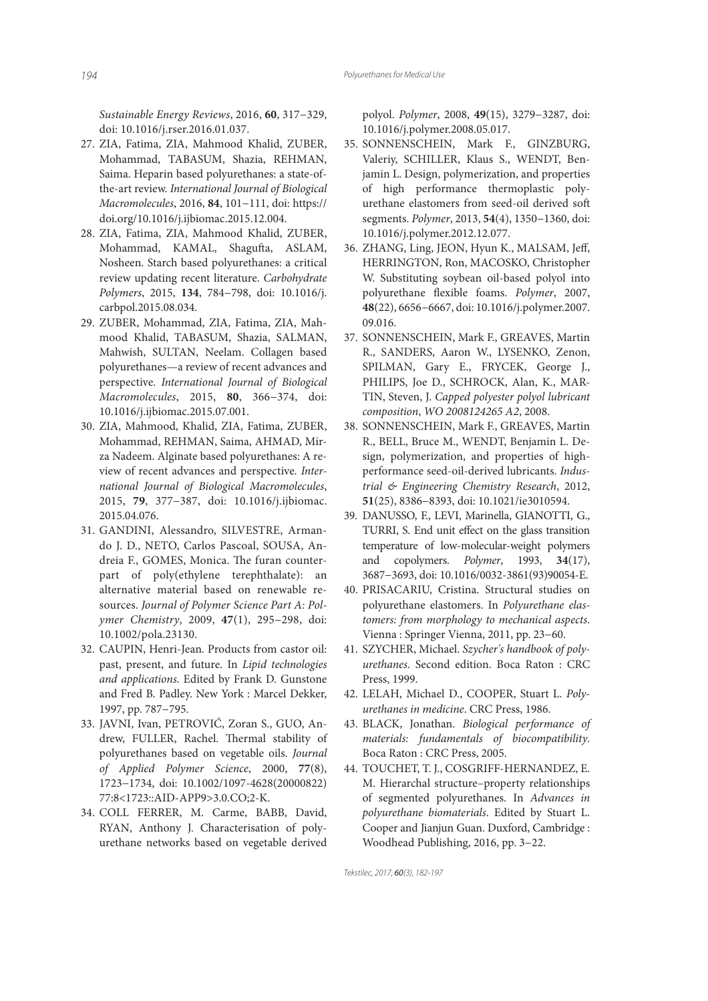Sustainable Energy Reviews, 2016, **60**, 317−329, doi: 10.1016/j.rser.2016.01.037.

- 27. ZIA, Fatima, ZIA, Mahmood Khalid, ZUBER, Mohammad, TABASUM, Shazia, REHMAN, Saima. Heparin based polyurethanes: a state-ofthe-art review. International Journal of Biological Macromolecules, 2016, **84**, 101−111, doi: https:// doi.org/10.1016/j.ijbiomac.2015.12.004.
- 28. ZIA, Fatima, ZIA, Mahmood Khalid, ZUBER, Mohammad, KAMAL, Shagufta, ASLAM, Nosheen. Starch based polyurethanes: a critical review updating recent literature. Carbohydrate Polymers, 2015, **134**, 784−798, doi: 10.1016/j. carbpol.2015.08.034.
- 29. ZUBER, Mohammad, ZIA, Fatima, ZIA, Mahmood Khalid, TABASUM, Shazia, SALMAN, Mahwish, SULTAN, Neelam. Collagen based polyurethanes—a review of recent advances and perspective. International Journal of Biological Macromolecules, 2015, **80**, 366−374, doi: 10.1016/j.ijbiomac.2015.07.001.
- 30. ZIA, Mahmood, Khalid, ZIA, Fatima, ZUBER, Mohammad, REHMAN, Saima, AHMAD, Mirza Nadeem. Alginate based polyurethanes: A review of recent advances and perspective. International Journal of Biological Macromolecules, 2015, **79**, 377−387, doi: 10.1016/j.ijbiomac. 2015.04.076.
- 31. GANDINI, Alessandro, SILVESTRE, Armando J. D., NETO, Carlos Pascoal, SOUSA, Andreia F., GOMES, Monica. The furan counterpart of poly(ethylene terephthalate): an alternative material based on renewable resources. Journal of Polymer Science Part A: Polymer Chemistry, 2009, **47**(1), 295−298, doi: 10.1002/pola.23130.
- 32. CAUPIN, Henri-Jean. Products from castor oil: past, present, and future. In Lipid technologies and applications. Edited by Frank D. Gunstone and Fred B. Padley. New York : Marcel Dekker, 1997, pp. 787−795.
- 33. JAVNI, Ivan, PETROVIĆ, Zoran S., GUO, Andrew, FULLER, Rachel. Thermal stability of polyurethanes based on vegetable oils. Journal of Applied Polymer Science, 2000, **77**(8), 1723−1734, doi: 10.1002/1097-4628(20000822) 77:8<1723::AID-APP9>3.0.CO;2-K.
- 34. COLL FERRER, M. Carme, BABB, David, RYAN, Anthony J. Characterisation of polyurethane networks based on vegetable derived

polyol. Polymer, 2008, **49**(15), 3279−3287, doi: 10.1016/j.polymer.2008.05.017.

- 35. SONNENSCHEIN, Mark F., GINZBURG, Valeriy, SCHILLER, Klaus S., WENDT, Benjamin L. Design, polymerization, and properties of high performance thermoplastic polyurethane elastomers from seed-oil derived soft segments. Polymer, 2013, **54**(4), 1350−1360, doi: 10.1016/j.polymer.2012.12.077.
- 36. ZHANG, Ling, JEON, Hyun K., MALSAM, Jeff, HERRINGTON, Ron, MACOSKO, Christopher W. Substituting soybean oil-based polyol into polyurethane flexible foams. Polymer, 2007, **48**(22), 6656−6667, doi: 10.1016/j.polymer.2007. 09.016.
- 37. SONNENSCHEIN, Mark F., GREAVES, Martin R., SANDERS, Aaron W., LYSENKO, Zenon, SPILMAN, Gary E., FRYCEK, George J., PHILIPS, Joe D., SCHROCK, Alan, K., MAR-TIN, Steven, J. Capped polyester polyol lubricant composition, WO 2008124265 A2, 2008.
- 38. SONNENSCHEIN, Mark F., GREAVES, Martin R., BELL, Bruce M., WENDT, Benjamin L. Design, polymerization, and properties of highperformance seed-oil-derived lubricants. Industrial & Engineering Chemistry Research, 2012, **51**(25), 8386−8393, doi: 10.1021/ie3010594.
- 39. DANUSSO, F., LEVI, Marinella, GIANOTTI, G., TURRI, S. End unit effect on the glass transition temperature of low-molecular-weight polymers and copolymers. Polymer, 1993, **34**(17), 3687−3693, doi: 10.1016/0032-3861(93)90054-E.
- 40. PRISACARIU, Cristina. Structural studies on polyurethane elastomers. In Polyurethane elastomers: from morphology to mechanical aspects. Vienna : Springer Vienna, 2011, pp. 23−60.
- 41. SZYCHER, Michael. Szycher's handbook of polyurethanes. Second edition. Boca Raton : CRC Press, 1999.
- 42. LELAH, Michael D., COOPER, Stuart L. Polyurethanes in medicine. CRC Press, 1986.
- 43. BLACK, Jonathan. Biological performance of materials: fundamentals of biocompatibility. Boca Raton : CRC Press, 2005.
- 44. TOUCHET, T. J., COSGRIFF-HERNANDEZ, E. M. Hierarchal structure–property relationships of segmented polyurethanes. In Advances in polyurethane biomaterials. Edited by Stuart L. Cooper and Jianjun Guan. Duxford, Cambridge : Woodhead Publishing, 2016, pp. 3−22.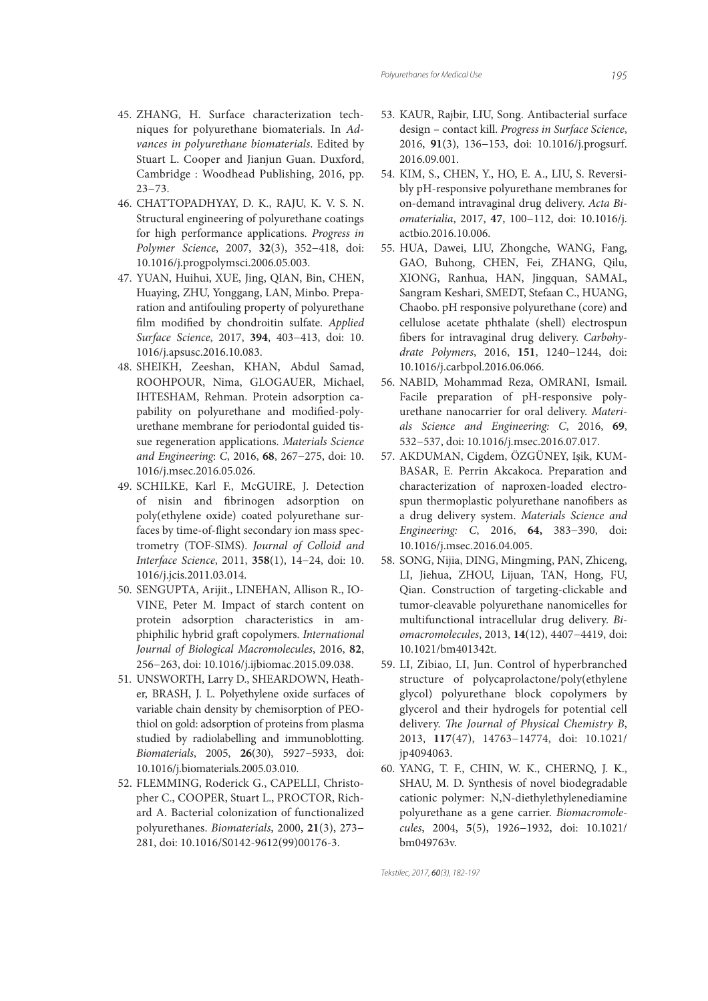- 45. ZHANG, H. Surface characterization techniques for polyurethane biomaterials. In Advances in polyurethane biomaterials. Edited by Stuart L. Cooper and Jianjun Guan. Duxford, Cambridge : Woodhead Publishing, 2016, pp. 23−73.
- 46. CHATTOPADHYAY, D. K., RAJU, K. V. S. N. Structural engineering of polyurethane coatings for high performance applications. Progress in Polymer Science, 2007, **32**(3), 352−418, doi: 10.1016/j.progpolymsci.2006.05.003.
- 47. YUAN, Huihui, XUE, Jing, QIAN, Bin, CHEN, Huaying, ZHU, Yonggang, LAN, Minbo. Preparation and antifouling property of polyurethane film modified by chondroitin sulfate. Applied Surface Science, 2017, **394**, 403−413, doi: 10. 1016/j.apsusc.2016.10.083.
- 48. SHEIKH, Zeeshan, KHAN, Abdul Samad, ROOHPOUR, Nima, GLOGAUER, Michael, IHTESHAM, Rehman. Protein adsorption capability on polyurethane and modified-polyurethane membrane for periodontal guided tissue regeneration applications. Materials Science and Engineering: C, 2016, **68**, 267−275, doi: 10. 1016/j.msec.2016.05.026.
- 49. SCHILKE, Karl F., McGUIRE, J. Detection of nisin and fibrinogen adsorption on poly(ethylene oxide) coated polyurethane surfaces by time-of-flight secondary ion mass spectrometry (TOF-SIMS). Journal of Colloid and Interface Science, 2011, **358**(1), 14−24, doi: 10. 1016/j.jcis.2011.03.014.
- 50. SENGUPTA, Arijit., LINEHAN, Allison R., IO-VINE, Peter M. Impact of starch content on protein adsorption characteristics in amphiphilic hybrid graft copolymers. International Journal of Biological Macromolecules, 2016, **82**, 256−263, doi: 10.1016/j.ijbiomac.2015.09.038.
- 51. UNSWORTH, Larry D., SHEARDOWN, Heather, BRASH, J. L. Polyethylene oxide surfaces of variable chain density by chemisorption of PEOthiol on gold: adsorption of proteins from plasma studied by radiolabelling and immunoblotting. Biomaterials, 2005, **26**(30), 5927−5933, doi: 10.1016/j.biomaterials.2005.03.010.
- 52. FLEMMING, Roderick G., CAPELLI, Christopher C., COOPER, Stuart L., PROCTOR, Richard A. Bacterial colonization of functionalized polyurethanes. Biomaterials, 2000, **21**(3), 273− 281, doi: 10.1016/S0142-9612(99)00176-3.
- 53. KAUR, Rajbir, LIU, Song. Antibacterial surface design – contact kill. Progress in Surface Science, 2016, **91**(3), 136−153, doi: 10.1016/j.progsurf. 2016.09.001.
- 54. KIM, S., CHEN, Y., HO, E. A., LIU, S. Reversibly pH-responsive polyurethane membranes for on-demand intravaginal drug delivery. Acta Biomaterialia, 2017, **47**, 100−112, doi: 10.1016/j. actbio.2016.10.006.
- 55. HUA, Dawei, LIU, Zhongche, WANG, Fang, GAO, Buhong, CHEN, Fei, ZHANG, Qilu, XIONG, Ranhua, HAN, Jingquan, SAMAL, Sangram Keshari, SMEDT, Stefaan C., HUANG, Chaobo. pH responsive polyurethane (core) and cellulose acetate phthalate (shell) electrospun bers for intravaginal drug delivery. Carbohydrate Polymers, 2016, **151**, 1240−1244, doi: 10.1016/j.carbpol.2016.06.066.
- 56. NABID, Mohammad Reza, OMRANI, Ismail. Facile preparation of pH-responsive polyurethane nanocarrier for oral delivery. Materials Science and Engineering: C, 2016, **69**, 532−537, doi: 10.1016/j.msec.2016.07.017.
- 57. AKDUMAN, Cigdem, ÖZGÜNEY, Işik, KUM-BASAR, E. Perrin Akcakoca. Preparation and characterization of naproxen-loaded electrospun thermoplastic polyurethane nanofibers as a drug delivery system. Materials Science and Engineering: C, 2016, **64,** 383−390, doi: 10.1016/j.msec.2016.04.005.
- 58. SONG, Nijia, DING, Mingming, PAN, Zhiceng, LI, Jiehua, ZHOU, Lijuan, TAN, Hong, FU, Qian. Construction of targeting-clickable and tumor-cleavable polyurethane nanomicelles for multifunctional intracellular drug delivery. Biomacromolecules, 2013, **14**(12), 4407−4419, doi: 10.1021/bm401342t.
- 59. LI, Zibiao, LI, Jun. Control of hyperbranched structure of polycaprolactone/poly(ethylene glycol) polyurethane block copolymers by glycerol and their hydrogels for potential cell delivery. The Journal of Physical Chemistry B, 2013, **117**(47), 14763−14774, doi: 10.1021/ jp4094063.
- 60. YANG, T. F., CHIN, W. K., CHERNQ, J. K., SHAU, M. D. Synthesis of novel biodegradable cationic polymer: N,N-diethylethylenediamine polyurethane as a gene carrier. Biomacromolecules, 2004, **5**(5), 1926−1932, doi: 10.1021/ bm049763v.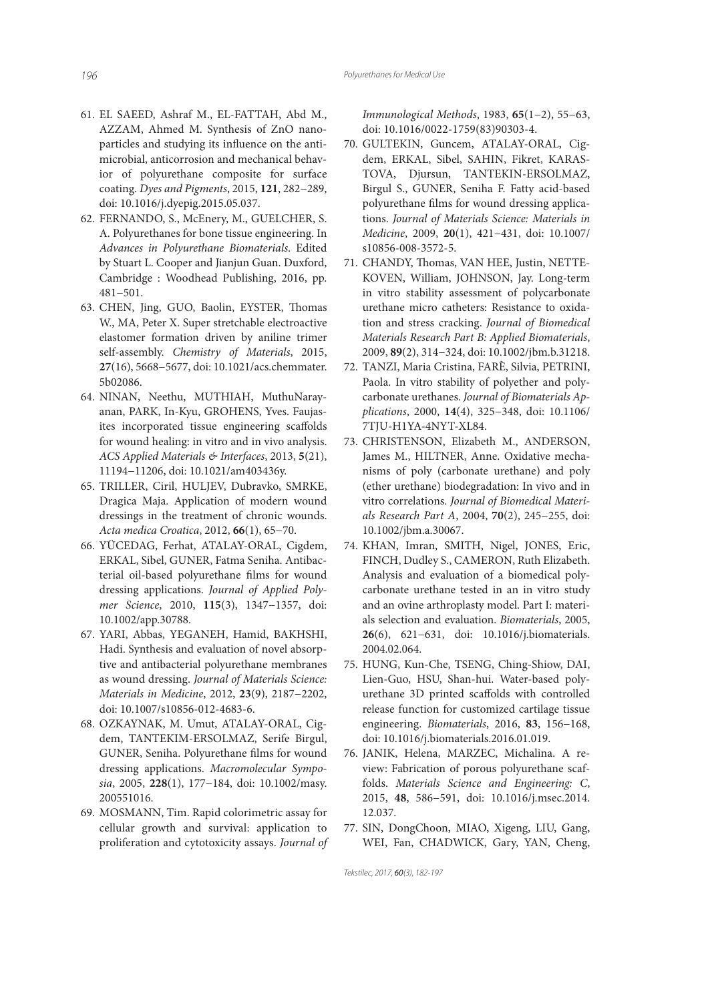- 61. EL SAEED, Ashraf M., EL-FATTAH, Abd M., AZZAM, Ahmed M. Synthesis of ZnO nanoparticles and studying its influence on the antimicrobial, anticorrosion and mechanical behavior of polyurethane composite for surface coating. Dyes and Pigments, 2015, **121**, 282−289, doi: 10.1016/j.dyepig.2015.05.037.
- 62. FERNANDO, S., McEnery, M., GUELCHER, S. A. Polyurethanes for bone tissue engineering. In Advances in Polyurethane Biomaterials. Edited by Stuart L. Cooper and Jianjun Guan. Duxford, Cambridge : Woodhead Publishing, 2016, pp. 481−501.
- 63. CHEN, Jing, GUO, Baolin, EYSTER, Thomas W., MA, Peter X. Super stretchable electroactive elastomer formation driven by aniline trimer self-assembly. Chemistry of Materials, 2015, **27**(16), 5668−5677, doi: 10.1021/acs.chemmater. 5b02086.
- 64. NINAN, Neethu, MUTHIAH, MuthuNarayanan, PARK, In-Kyu, GROHENS, Yves. Faujasites incorporated tissue engineering scaffolds for wound healing: in vitro and in vivo analysis. ACS Applied Materials & Interfaces, 2013, **5**(21), 11194−11206, doi: 10.1021/am403436y.
- 65. TRILLER, Ciril, HULJEV, Dubravko, SMRKE, Dragica Maja. Application of modern wound dressings in the treatment of chronic wounds. Acta medica Croatica, 2012, **66**(1), 65−70.
- 66. YÜCEDAG, Ferhat, ATALAY-ORAL, Cigdem, ERKAL, Sibel, GUNER, Fatma Seniha. Antibacterial oil-based polyurethane films for wound dressing applications. Journal of Applied Polymer Science, 2010, **115**(3), 1347−1357, doi: 10.1002/app.30788.
- 67. YARI, Abbas, YEGANEH, Hamid, BAKHSHI, Hadi. Synthesis and evaluation of novel absorptive and antibacterial polyurethane membranes as wound dressing. Journal of Materials Science: Materials in Medicine, 2012, **23**(9), 2187−2202, doi: 10.1007/s10856-012-4683-6.
- 68. OZKAYNAK, M. Umut, ATALAY-ORAL, Cigdem, TANTEKIM-ERSOLMAZ, Serife Birgul, GUNER, Seniha. Polyurethane films for wound dressing applications. Macromolecular Symposia, 2005, **228**(1), 177−184, doi: 10.1002/masy. 200551016.
- 69. MOSMANN, Tim. Rapid colorimetric assay for cellular growth and survival: application to proliferation and cytotoxicity assays. Journal of

Immunological Methods, 1983, **65**(1−2), 55−63, doi: 10.1016/0022-1759(83)90303-4.

- 70. GULTEKIN, Guncem, ATALAY-ORAL, Cigdem, ERKAL, Sibel, SAHIN, Fikret, KARAS-TOVA, Djursun, TANTEKIN-ERSOLMAZ, Birgul S., GUNER, Seniha F. Fatty acid-based polyurethane films for wound dressing applications. Journal of Materials Science: Materials in Medicine, 2009, **20**(1), 421−431, doi: 10.1007/ s10856-008-3572-5.
- 71. CHANDY, Thomas, VAN HEE, Justin, NETTE-KOVEN, William, JOHNSON, Jay. Long‐term in vitro stability assessment of polycarbonate urethane micro catheters: Resistance to oxidation and stress cracking. Journal of Biomedical Materials Research Part B: Applied Biomaterials, 2009, **89**(2), 314−324, doi: 10.1002/jbm.b.31218.
- 72. TANZI, Maria Cristina, FARÈ, Silvia, PETRINI, Paola. In vitro stability of polyether and polycarbonate urethanes. Journal of Biomaterials Applications, 2000, **14**(4), 325−348, doi: 10.1106/ 7TJU-H1YA-4NYT-XL84.
- 73. CHRISTENSON, Elizabeth M., ANDERSON, James M., HILTNER, Anne. Oxidative mechanisms of poly (carbonate urethane) and poly (ether urethane) biodegradation: In vivo and in vitro correlations. Journal of Biomedical Materials Research Part A, 2004, **70**(2), 245−255, doi: 10.1002/jbm.a.30067.
- 74. KHAN, Imran, SMITH, Nigel, JONES, Eric, FINCH, Dudley S., CAMERON, Ruth Elizabeth. Analysis and evaluation of a biomedical polycarbonate urethane tested in an in vitro study and an ovine arthroplasty model. Part I: materials selection and evaluation. Biomaterials, 2005, **26**(6), 621−631, doi: 10.1016/j.biomaterials. 2004.02.064.
- 75. HUNG, Kun-Che, TSENG, Ching-Shiow, DAI, Lien-Guo, HSU, Shan-hui. Water-based polyurethane 3D printed scaffolds with controlled release function for customized cartilage tissue engineering. Biomaterials, 2016, **83**, 156−168, doi: 10.1016/j.biomaterials.2016.01.019.
- 76. JANIK, Helena, MARZEC, Michalina. A review: Fabrication of porous polyurethane scaffolds. Materials Science and Engineering: C, 2015, **48**, 586−591, doi: 10.1016/j.msec.2014. 12.037.
- 77. SIN, DongChoon, MIAO, Xigeng, LIU, Gang, WEI, Fan, CHADWICK, Gary, YAN, Cheng,